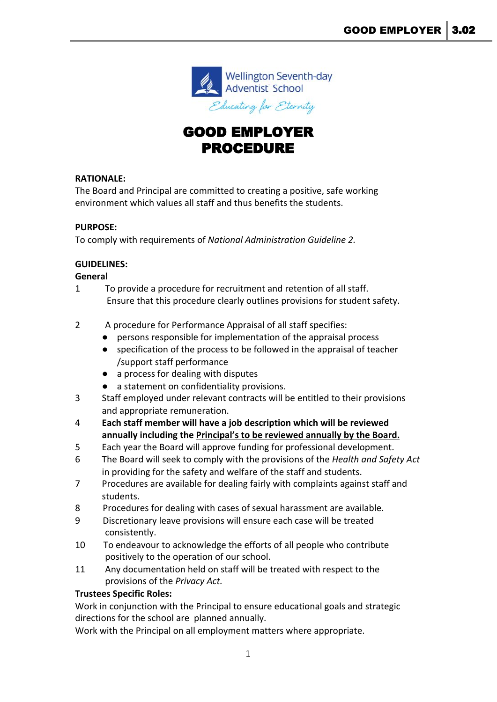

# GOOD EMPLOYER PROCEDURE

# **RATIONALE:**

The Board and Principal are committed to creating a positive, safe working environment which values all staff and thus benefits the students.

### **PURPOSE:**

To comply with requirements of *National Administration Guideline 2.*

### **GUIDELINES:**

**General**

- 1 To provide a procedure for recruitment and retention of all staff. Ensure that this procedure clearly outlines provisions for student safety.
- 2 A procedure for Performance Appraisal of all staff specifies:
	- persons responsible for implementation of the appraisal process
	- specification of the process to be followed in the appraisal of teacher /support staff performance
	- a process for dealing with disputes
	- a statement on confidentiality provisions.
- 3 Staff employed under relevant contracts will be entitled to their provisions and appropriate remuneration.
- 4 **Each staff member will have a job description which will be reviewed annually including the Principal's to be reviewed annually by the Board.**
- 5 Each year the Board will approve funding for professional development.
- 6 The Board will seek to comply with the provisions of the *Health and Safety Act* in providing for the safety and welfare of the staff and students.
- 7 Procedures are available for dealing fairly with complaints against staff and students.
- 8 Procedures for dealing with cases of sexual harassment are available.
- 9 Discretionary leave provisions will ensure each case will be treated consistently.
- 10 To endeavour to acknowledge the efforts of all people who contribute positively to the operation of our school.
- 11 Any documentation held on staff will be treated with respect to the provisions of the *Privacy Act.*

# **Trustees Specific Roles:**

Work in conjunction with the Principal to ensure educational goals and strategic directions for the school are planned annually.

Work with the Principal on all employment matters where appropriate.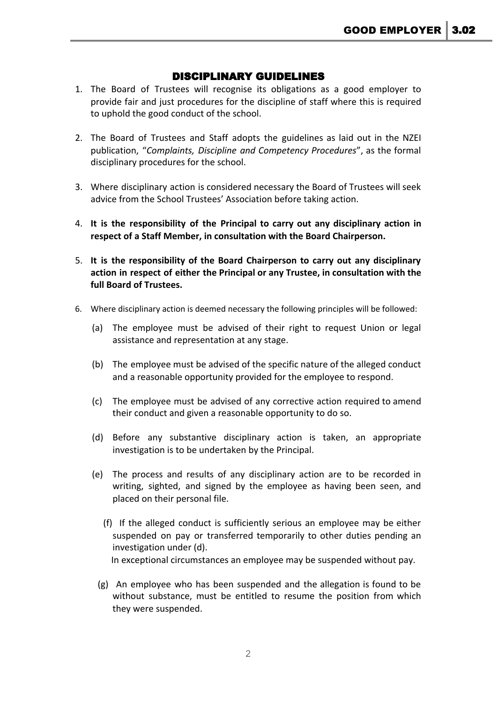# DISCIPLINARY GUIDELINES

- 1. The Board of Trustees will recognise its obligations as a good employer to provide fair and just procedures for the discipline of staff where this is required to uphold the good conduct of the school.
- 2. The Board of Trustees and Staff adopts the guidelines as laid out in the NZEI publication, "*Complaints, Discipline and Competency Procedures*", as the formal disciplinary procedures for the school.
- 3. Where disciplinary action is considered necessary the Board of Trustees will seek advice from the School Trustees' Association before taking action.
- 4. **It is the responsibility of the Principal to carry out any disciplinary action in respect of a Staff Member, in consultation with the Board Chairperson.**
- 5. **It is the responsibility of the Board Chairperson to carry out any disciplinary action in respect of either the Principal or any Trustee, in consultation with the full Board of Trustees.**
- 6. Where disciplinary action is deemed necessary the following principles will be followed:
	- (a) The employee must be advised of their right to request Union or legal assistance and representation at any stage.
	- (b) The employee must be advised of the specific nature of the alleged conduct and a reasonable opportunity provided for the employee to respond.
	- (c) The employee must be advised of any corrective action required to amend their conduct and given a reasonable opportunity to do so.
	- (d) Before any substantive disciplinary action is taken, an appropriate investigation is to be undertaken by the Principal.
	- (e) The process and results of any disciplinary action are to be recorded in writing, sighted, and signed by the employee as having been seen, and placed on their personal file.
		- (f) If the alleged conduct is sufficiently serious an employee may be either suspended on pay or transferred temporarily to other duties pending an investigation under (d). In exceptional circumstances an employee may be suspended without pay.
		- (g) An employee who has been suspended and the allegation is found to be without substance, must be entitled to resume the position from which they were suspended.